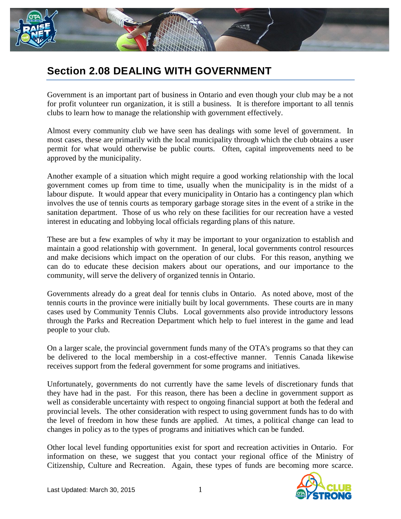

## **Section 2.08 DEALING WITH GOVERNMENT**

Government is an important part of business in Ontario and even though your club may be a not for profit volunteer run organization, it is still a business. It is therefore important to all tennis clubs to learn how to manage the relationship with government effectively.

Almost every community club we have seen has dealings with some level of government. In most cases, these are primarily with the local municipality through which the club obtains a user permit for what would otherwise be public courts. Often, capital improvements need to be approved by the municipality.

Another example of a situation which might require a good working relationship with the local government comes up from time to time, usually when the municipality is in the midst of a labour dispute. It would appear that every municipality in Ontario has a contingency plan which involves the use of tennis courts as temporary garbage storage sites in the event of a strike in the sanitation department. Those of us who rely on these facilities for our recreation have a vested interest in educating and lobbying local officials regarding plans of this nature.

These are but a few examples of why it may be important to your organization to establish and maintain a good relationship with government. In general, local governments control resources and make decisions which impact on the operation of our clubs. For this reason, anything we can do to educate these decision makers about our operations, and our importance to the community, will serve the delivery of organized tennis in Ontario.

Governments already do a great deal for tennis clubs in Ontario. As noted above, most of the tennis courts in the province were initially built by local governments. These courts are in many cases used by Community Tennis Clubs. Local governments also provide introductory lessons through the Parks and Recreation Department which help to fuel interest in the game and lead people to your club.

On a larger scale, the provincial government funds many of the OTA's programs so that they can be delivered to the local membership in a cost-effective manner. Tennis Canada likewise receives support from the federal government for some programs and initiatives.

Unfortunately, governments do not currently have the same levels of discretionary funds that they have had in the past. For this reason, there has been a decline in government support as well as considerable uncertainty with respect to ongoing financial support at both the federal and provincial levels. The other consideration with respect to using government funds has to do with the level of freedom in how these funds are applied. At times, a political change can lead to changes in policy as to the types of programs and initiatives which can be funded.

Other local level funding opportunities exist for sport and recreation activities in Ontario. For information on these, we suggest that you contact your regional office of the Ministry of Citizenship, Culture and Recreation. Again, these types of funds are becoming more scarce.

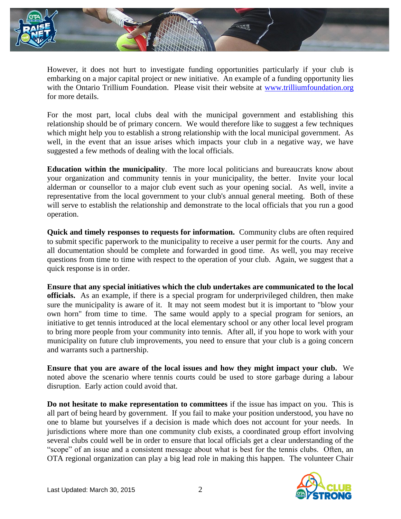

However, it does not hurt to investigate funding opportunities particularly if your club is embarking on a major capital project or new initiative. An example of a funding opportunity lies with the Ontario Trillium Foundation. Please visit their website at [www.trilliumfoundation.org](http://www.trilliumfoundation.org/) for more details.

For the most part, local clubs deal with the municipal government and establishing this relationship should be of primary concern. We would therefore like to suggest a few techniques which might help you to establish a strong relationship with the local municipal government. As well, in the event that an issue arises which impacts your club in a negative way, we have suggested a few methods of dealing with the local officials.

**Education within the municipality**. The more local politicians and bureaucrats know about your organization and community tennis in your municipality, the better. Invite your local alderman or counsellor to a major club event such as your opening social. As well, invite a representative from the local government to your club's annual general meeting. Both of these will serve to establish the relationship and demonstrate to the local officials that you run a good operation.

**Quick and timely responses to requests for information.** Community clubs are often required to submit specific paperwork to the municipality to receive a user permit for the courts. Any and all documentation should be complete and forwarded in good time. As well, you may receive questions from time to time with respect to the operation of your club. Again, we suggest that a quick response is in order.

**Ensure that any special initiatives which the club undertakes are communicated to the local officials.** As an example, if there is a special program for underprivileged children, then make sure the municipality is aware of it. It may not seem modest but it is important to "blow your own horn" from time to time. The same would apply to a special program for seniors, an initiative to get tennis introduced at the local elementary school or any other local level program to bring more people from your community into tennis. After all, if you hope to work with your municipality on future club improvements, you need to ensure that your club is a going concern and warrants such a partnership.

**Ensure that you are aware of the local issues and how they might impact your club.** We noted above the scenario where tennis courts could be used to store garbage during a labour disruption. Early action could avoid that.

**Do not hesitate to make representation to committees** if the issue has impact on you. This is all part of being heard by government. If you fail to make your position understood, you have no one to blame but yourselves if a decision is made which does not account for your needs. In jurisdictions where more than one community club exists, a coordinated group effort involving several clubs could well be in order to ensure that local officials get a clear understanding of the "scope" of an issue and a consistent message about what is best for the tennis clubs. Often, an OTA regional organization can play a big lead role in making this happen. The volunteer Chair